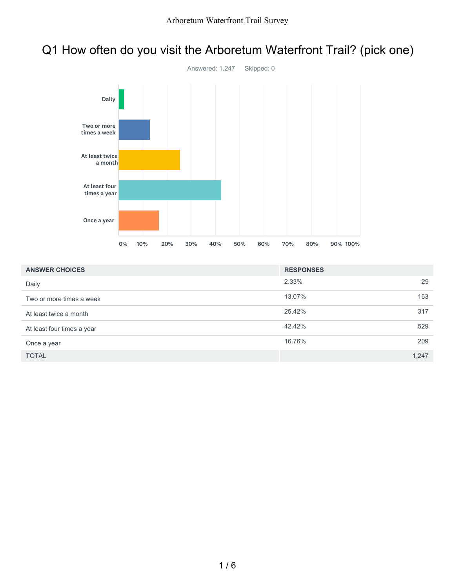### Q1 How often do you visit the Arboretum Waterfront Trail? (pick one)



| <b>ANSWER CHOICES</b>      | <b>RESPONSES</b> |       |
|----------------------------|------------------|-------|
| Daily                      | 2.33%            | 29    |
| Two or more times a week   | 13.07%           | 163   |
| At least twice a month     | 25.42%           | 317   |
| At least four times a year | 42.42%           | 529   |
| Once a year                | 16.76%           | 209   |
| <b>TOTAL</b>               |                  | 1,247 |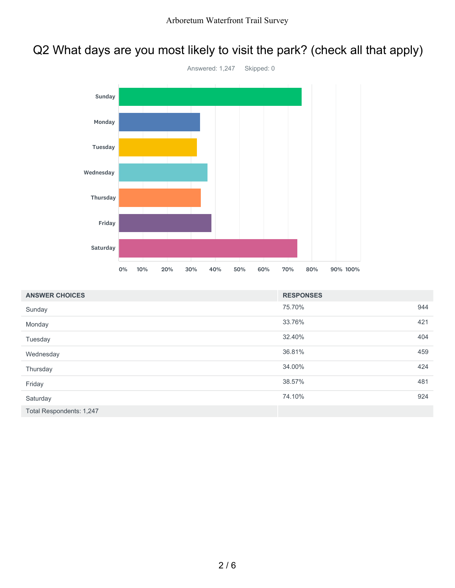# Q2 What days are you most likely to visit the park? (check all that apply)



| <b>ANSWER CHOICES</b>    | <b>RESPONSES</b> |     |
|--------------------------|------------------|-----|
| Sunday                   | 75.70%           | 944 |
| Monday                   | 33.76%           | 421 |
| Tuesday                  | 32.40%           | 404 |
| Wednesday                | 36.81%           | 459 |
| Thursday                 | 34.00%           | 424 |
| Friday                   | 38.57%           | 481 |
| Saturday                 | 74.10%           | 924 |
| Total Respondents: 1,247 |                  |     |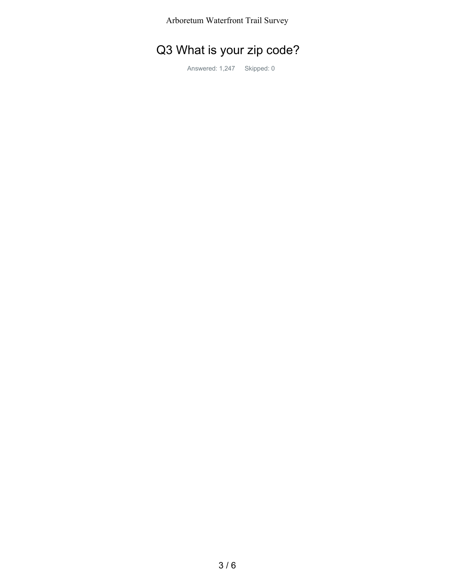Arboretum Waterfront Trail Survey

## Q3 What is your zip code?

Answered: 1,247 Skipped: 0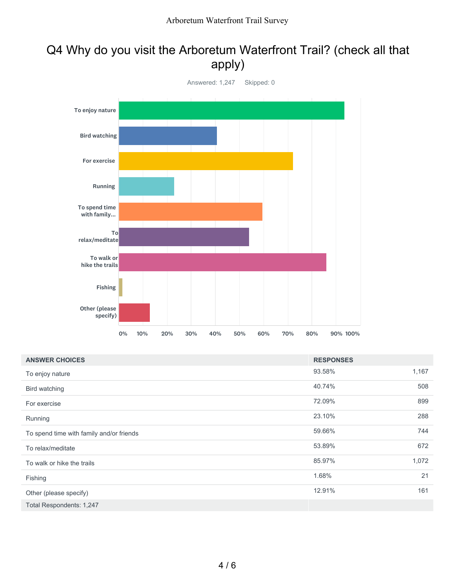#### Q4 Why do you visit the Arboretum Waterfront Trail? (check all that apply)



| <b>ANSWER CHOICES</b>                    | <b>RESPONSES</b> |       |
|------------------------------------------|------------------|-------|
| To enjoy nature                          | 93.58%           | 1,167 |
| Bird watching                            | 40.74%           | 508   |
| For exercise                             | 72.09%           | 899   |
| Running                                  | 23.10%           | 288   |
| To spend time with family and/or friends | 59.66%           | 744   |
| To relax/meditate                        | 53.89%           | 672   |
| To walk or hike the trails               | 85.97%           | 1,072 |
| Fishing                                  | 1.68%            | 21    |
| Other (please specify)                   | 12.91%           | 161   |
| Total Respondents: 1,247                 |                  |       |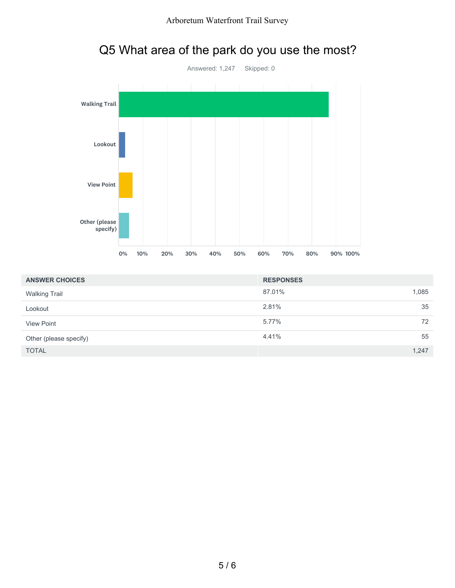

| <b>ANSWER CHOICES</b>  | <b>RESPONSES</b> |       |
|------------------------|------------------|-------|
| <b>Walking Trail</b>   | 87.01%           | 1,085 |
| Lookout                | 2.81%            | 35    |
| <b>View Point</b>      | 5.77%            | 72    |
| Other (please specify) | 4.41%            | 55    |
| <b>TOTAL</b>           |                  | 1,247 |